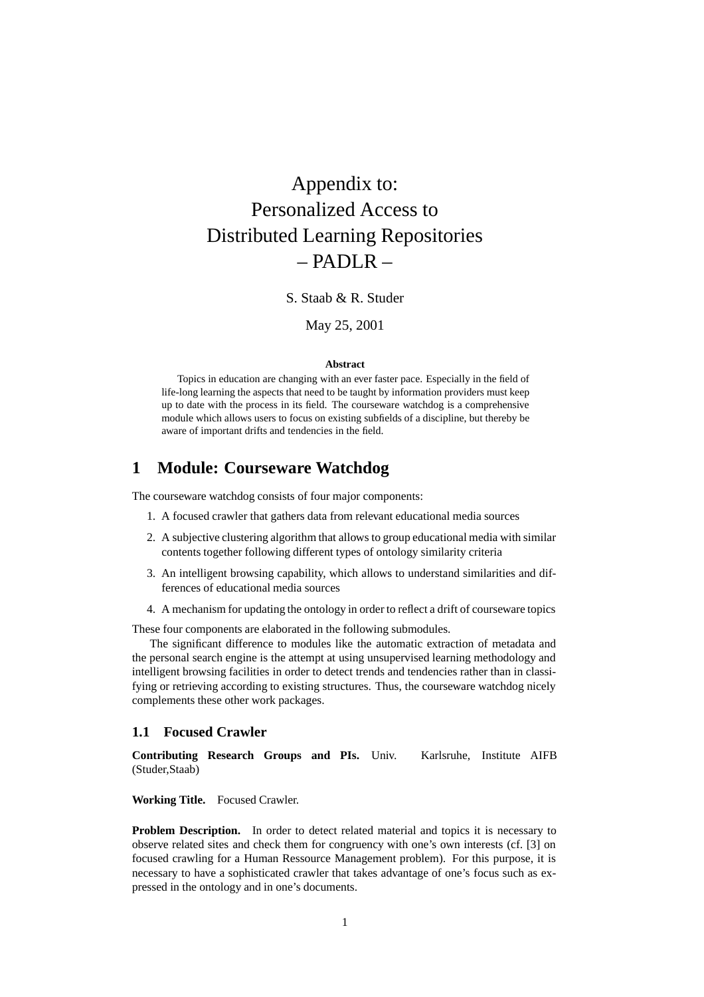# Appendix to: Personalized Access to Distributed Learning Repositories – PADLR –

S. Staab & R. Studer

May 25, 2001

#### **Abstract**

Topics in education are changing with an ever faster pace. Especially in the field of life-long learning the aspects that need to be taught by information providers must keep up to date with the process in its field. The courseware watchdog is a comprehensive module which allows users to focus on existing subfields of a discipline, but thereby be aware of important drifts and tendencies in the field.

# **1 Module: Courseware Watchdog**

The courseware watchdog consists of four major components:

- 1. A focused crawler that gathers data from relevant educational media sources
- 2. A subjective clustering algorithm that allows to group educational media with similar contents together following different types of ontology similarity criteria
- 3. An intelligent browsing capability, which allows to understand similarities and differences of educational media sources
- 4. A mechanism for updating the ontology in order to reflect a drift of courseware topics

These four components are elaborated in the following submodules.

The significant difference to modules like the automatic extraction of metadata and the personal search engine is the attempt at using unsupervised learning methodology and intelligent browsing facilities in order to detect trends and tendencies rather than in classifying or retrieving according to existing structures. Thus, the courseware watchdog nicely complements these other work packages.

## **1.1 Focused Crawler**

**Contributing Research Groups and PIs.** Univ. Karlsruhe, Institute AIFB (Studer,Staab)

**Working Title.** Focused Crawler.

**Problem Description.** In order to detect related material and topics it is necessary to observe related sites and check them for congruency with one's own interests (cf. [3] on focused crawling for a Human Ressource Management problem). For this purpose, it is necessary to have a sophisticated crawler that takes advantage of one's focus such as expressed in the ontology and in one's documents.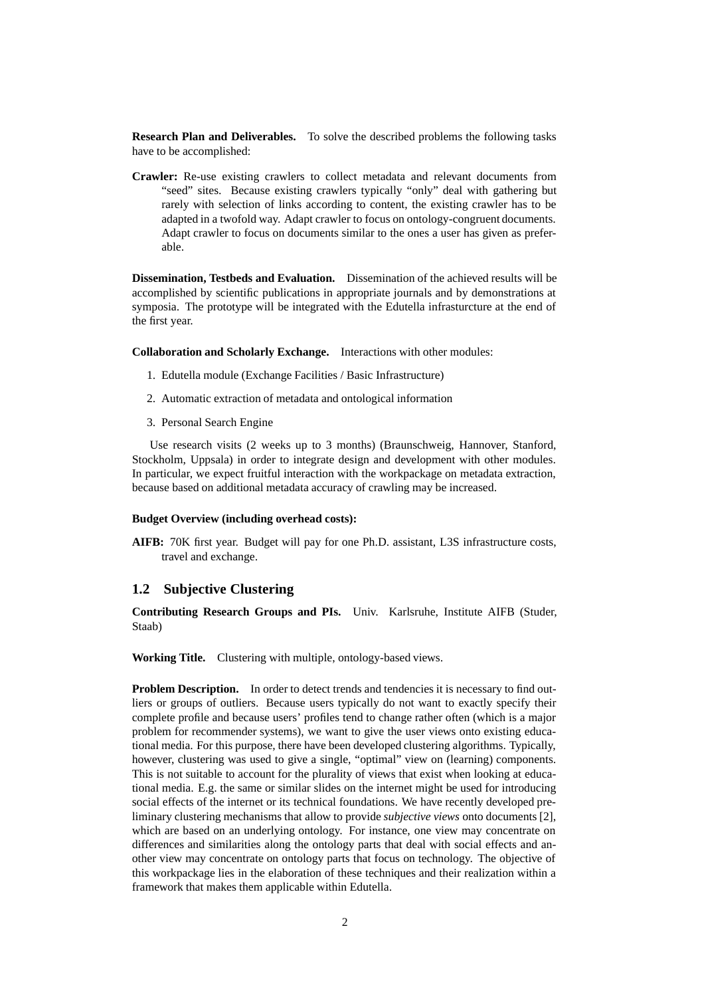**Research Plan and Deliverables.** To solve the described problems the following tasks have to be accomplished:

**Crawler:** Re-use existing crawlers to collect metadata and relevant documents from "seed" sites. Because existing crawlers typically "only" deal with gathering but rarely with selection of links according to content, the existing crawler has to be adapted in a twofold way. Adapt crawler to focus on ontology-congruent documents. Adapt crawler to focus on documents similar to the ones a user has given as preferable.

**Dissemination, Testbeds and Evaluation.** Dissemination of the achieved results will be accomplished by scientific publications in appropriate journals and by demonstrations at symposia. The prototype will be integrated with the Edutella infrasturcture at the end of the first year.

**Collaboration and Scholarly Exchange.** Interactions with other modules:

- 1. Edutella module (Exchange Facilities / Basic Infrastructure)
- 2. Automatic extraction of metadata and ontological information
- 3. Personal Search Engine

Use research visits (2 weeks up to 3 months) (Braunschweig, Hannover, Stanford, Stockholm, Uppsala) in order to integrate design and development with other modules. In particular, we expect fruitful interaction with the workpackage on metadata extraction, because based on additional metadata accuracy of crawling may be increased.

#### **Budget Overview (including overhead costs):**

**AIFB:** 70K first year. Budget will pay for one Ph.D. assistant, L3S infrastructure costs, travel and exchange.

## **1.2 Subjective Clustering**

**Contributing Research Groups and PIs.** Univ. Karlsruhe, Institute AIFB (Studer, Staab)

**Working Title.** Clustering with multiple, ontology-based views.

**Problem Description.** In order to detect trends and tendencies it is necessary to find outliers or groups of outliers. Because users typically do not want to exactly specify their complete profile and because users' profiles tend to change rather often (which is a major problem for recommender systems), we want to give the user views onto existing educational media. For this purpose, there have been developed clustering algorithms. Typically, however, clustering was used to give a single, "optimal" view on (learning) components. This is not suitable to account for the plurality of views that exist when looking at educational media. E.g. the same or similar slides on the internet might be used for introducing social effects of the internet or its technical foundations. We have recently developed preliminary clustering mechanisms that allow to provide *subjective views* onto documents [2], which are based on an underlying ontology. For instance, one view may concentrate on differences and similarities along the ontology parts that deal with social effects and another view may concentrate on ontology parts that focus on technology. The objective of this workpackage lies in the elaboration of these techniques and their realization within a framework that makes them applicable within Edutella.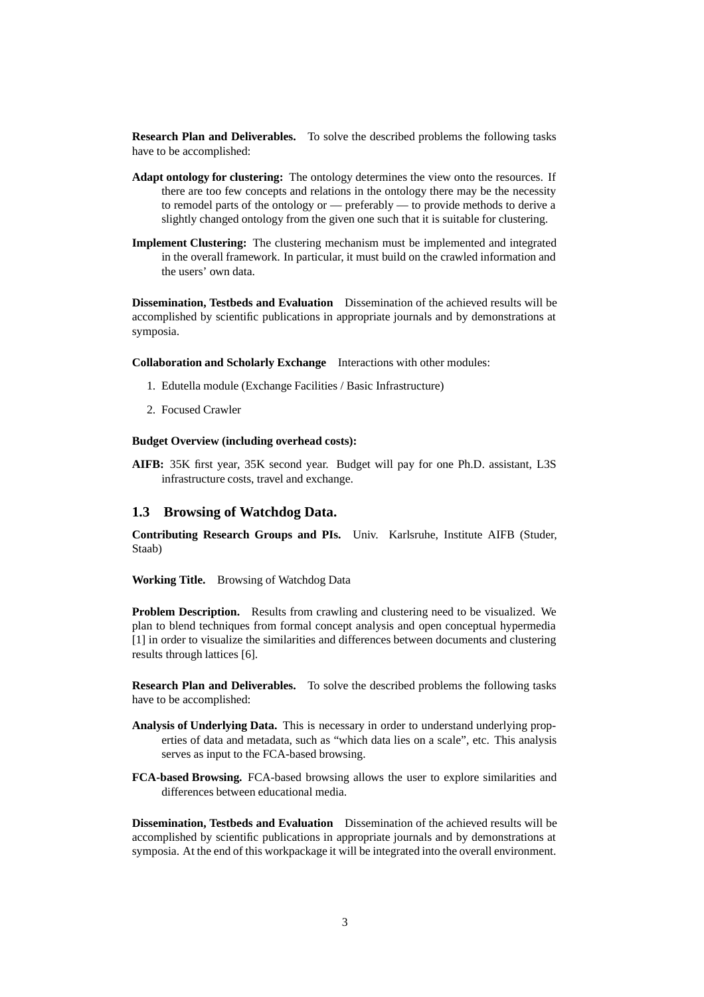**Research Plan and Deliverables.** To solve the described problems the following tasks have to be accomplished:

- **Adapt ontology for clustering:** The ontology determines the view onto the resources. If there are too few concepts and relations in the ontology there may be the necessity to remodel parts of the ontology or — preferably — to provide methods to derive a slightly changed ontology from the given one such that it is suitable for clustering.
- **Implement Clustering:** The clustering mechanism must be implemented and integrated in the overall framework. In particular, it must build on the crawled information and the users' own data.

**Dissemination, Testbeds and Evaluation** Dissemination of the achieved results will be accomplished by scientific publications in appropriate journals and by demonstrations at symposia.

**Collaboration and Scholarly Exchange** Interactions with other modules:

- 1. Edutella module (Exchange Facilities / Basic Infrastructure)
- 2. Focused Crawler

#### **Budget Overview (including overhead costs):**

**AIFB:** 35K first year, 35K second year. Budget will pay for one Ph.D. assistant, L3S infrastructure costs, travel and exchange.

## **1.3 Browsing of Watchdog Data.**

**Contributing Research Groups and PIs.** Univ. Karlsruhe, Institute AIFB (Studer, Staab)

**Working Title.** Browsing of Watchdog Data

**Problem Description.** Results from crawling and clustering need to be visualized. We plan to blend techniques from formal concept analysis and open conceptual hypermedia [1] in order to visualize the similarities and differences between documents and clustering results through lattices [6].

**Research Plan and Deliverables.** To solve the described problems the following tasks have to be accomplished:

- **Analysis of Underlying Data.** This is necessary in order to understand underlying properties of data and metadata, such as "which data lies on a scale", etc. This analysis serves as input to the FCA-based browsing.
- **FCA-based Browsing.** FCA-based browsing allows the user to explore similarities and differences between educational media.

**Dissemination, Testbeds and Evaluation** Dissemination of the achieved results will be accomplished by scientific publications in appropriate journals and by demonstrations at symposia. At the end of this workpackage it will be integrated into the overall environment.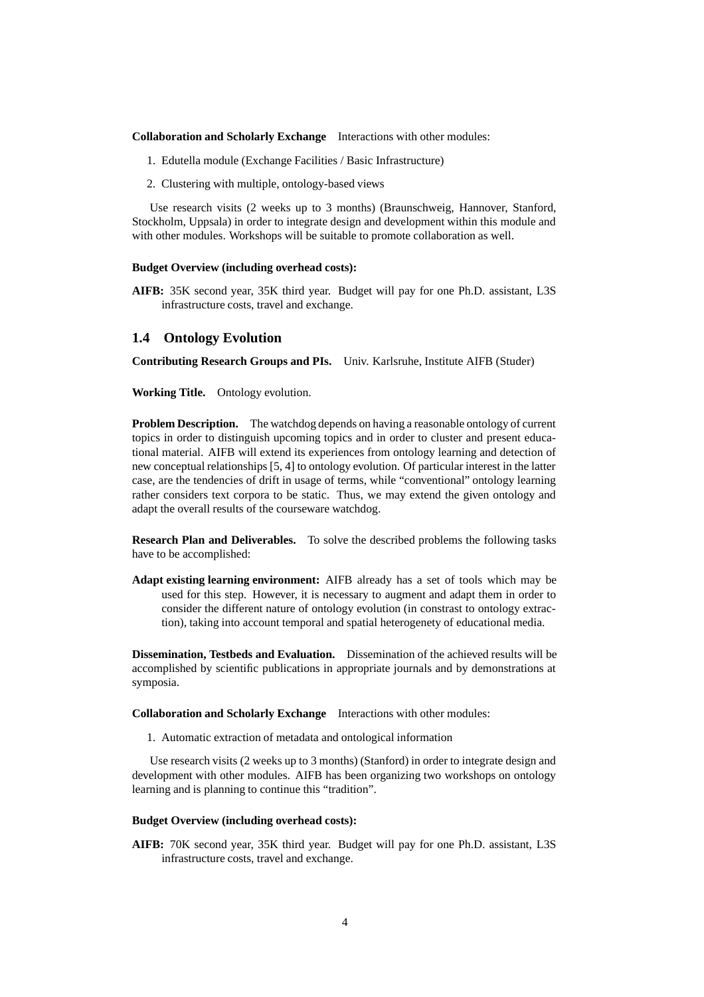**Collaboration and Scholarly Exchange** Interactions with other modules:

- 1. Edutella module (Exchange Facilities / Basic Infrastructure)
- 2. Clustering with multiple, ontology-based views

Use research visits (2 weeks up to 3 months) (Braunschweig, Hannover, Stanford, Stockholm, Uppsala) in order to integrate design and development within this module and with other modules. Workshops will be suitable to promote collaboration as well.

#### **Budget Overview (including overhead costs):**

**AIFB:** 35K second year, 35K third year. Budget will pay for one Ph.D. assistant, L3S infrastructure costs, travel and exchange.

### **1.4 Ontology Evolution**

**Contributing Research Groups and PIs.** Univ. Karlsruhe, Institute AIFB (Studer)

**Working Title.** Ontology evolution.

**Problem Description.** The watchdog depends on having a reasonable ontology of current topics in order to distinguish upcoming topics and in order to cluster and present educational material. AIFB will extend its experiences from ontology learning and detection of new conceptual relationships [5, 4] to ontology evolution. Of particular interest in the latter case, are the tendencies of drift in usage of terms, while "conventional" ontology learning rather considers text corpora to be static. Thus, we may extend the given ontology and adapt the overall results of the courseware watchdog.

**Research Plan and Deliverables.** To solve the described problems the following tasks have to be accomplished:

**Adapt existing learning environment:** AIFB already has a set of tools which may be used for this step. However, it is necessary to augment and adapt them in order to consider the different nature of ontology evolution (in constrast to ontology extraction), taking into account temporal and spatial heterogenety of educational media.

**Dissemination, Testbeds and Evaluation.** Dissemination of the achieved results will be accomplished by scientific publications in appropriate journals and by demonstrations at symposia.

**Collaboration and Scholarly Exchange** Interactions with other modules:

1. Automatic extraction of metadata and ontological information

Use research visits (2 weeks up to 3 months) (Stanford) in order to integrate design and development with other modules. AIFB has been organizing two workshops on ontology learning and is planning to continue this "tradition".

#### **Budget Overview (including overhead costs):**

**AIFB:** 70K second year, 35K third year. Budget will pay for one Ph.D. assistant, L3S infrastructure costs, travel and exchange.